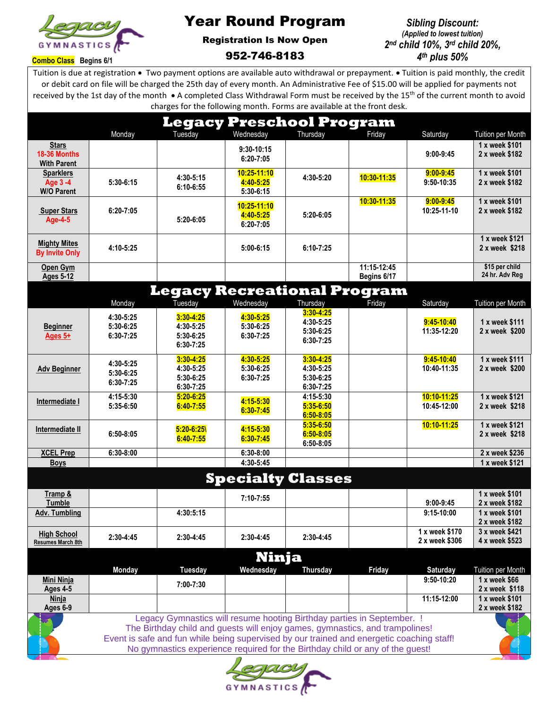

## Year Round Program

## Registration Is Now Open 952-746-8183

## *Sibling Discount: (Applied to lowest tuition) 2 nd child 10%, 3 rd child 20%, 4 th plus 50%*

**Combo Class Begins 6/1**

Tuition is due at registration • Two payment options are available auto withdrawal or prepayment. • Tuition is paid monthly, the credit or debit card on file will be charged the 25th day of every month. An Administrative Fee of \$15.00 will be applied for payments not received by the 1st day of the month • A completed Class Withdrawal Form must be received by the 15<sup>th</sup> of the current month to avoid charges for the following month. Forms are available at the front desk.

|                                                                              |               |                                                                                           |               | <b>Legacy Preschool Program</b> |             |                           |                                  |
|------------------------------------------------------------------------------|---------------|-------------------------------------------------------------------------------------------|---------------|---------------------------------|-------------|---------------------------|----------------------------------|
|                                                                              | Monday        | Tuesday                                                                                   | Wednesday     | Thursday                        | Friday      | Saturday                  | Tuition per Month                |
| <b>Stars</b>                                                                 |               |                                                                                           | 9:30-10:15    |                                 |             |                           | 1 x week \$101                   |
| 18-36 Months<br><b>With Parent</b>                                           |               |                                                                                           | 6:20-7:05     |                                 |             | $9:00-9:45$               | 2 x week \$182                   |
| <b>Sparklers</b>                                                             |               |                                                                                           | 10:25-11:10   |                                 |             | $9:00 - 9:45$             | 1 x week \$101                   |
| Age 3-4                                                                      | 5:30-6:15     | 4:30-5:15                                                                                 | 4:40-5:25     | 4:30-5:20                       | 10:30-11:35 | 9:50-10:35                | 2 x week \$182                   |
| <b>W/O Parent</b>                                                            |               | 6:10-6:55                                                                                 | 5:30-6:15     |                                 |             |                           |                                  |
|                                                                              |               |                                                                                           | 10:25-11:10   |                                 | 10:30-11:35 | $9:00 - 9:45$             | 1 x week \$101                   |
| <b>Super Stars</b><br><b>Age-4-5</b>                                         | $6:20 - 7:05$ | 5:20-6:05                                                                                 | 4:40-5:25     | $5:20-6:05$                     |             | 10:25-11-10               | 2 x week \$182                   |
|                                                                              |               |                                                                                           | 6:20-7:05     |                                 |             |                           |                                  |
|                                                                              |               |                                                                                           |               |                                 |             |                           | 1 x week \$121                   |
| <b>Mighty Mites</b><br><b>By Invite Only</b>                                 | 4:10-5:25     |                                                                                           | $5:00-6:15$   | $6:10 - 7:25$                   |             |                           | 2 x week \$218                   |
|                                                                              |               |                                                                                           |               |                                 |             |                           |                                  |
| Open Gym<br><b>Ages 5-12</b>                                                 |               |                                                                                           |               |                                 | 11:15-12:45 |                           | \$15 per child<br>24 hr. Adv Reg |
|                                                                              |               |                                                                                           |               |                                 | Begins 6/17 |                           |                                  |
|                                                                              |               | <b>Legacy Recreational Program</b>                                                        |               |                                 |             |                           |                                  |
|                                                                              | Monday        | Tuesday                                                                                   | Wednesday     | Thursday                        | Friday      | Saturday                  | Tuition per Month                |
|                                                                              | 4:30-5:25     | $3:30 - 4:25$                                                                             | 4:30-5:25     | $3:30 - 4:25$                   |             |                           |                                  |
| <b>Beginner</b>                                                              | 5:30-6:25     | 4:30-5:25                                                                                 | 5:30-6:25     | 4:30-5:25<br>5:30-6:25          |             | 9:45-10:40<br>11:35-12:20 | 1 x week \$111<br>2 x week \$200 |
| Ages 5+                                                                      | $6:30-7:25$   | 5:30-6:25                                                                                 | 6:30-7:25     | 6:30-7:25                       |             |                           |                                  |
|                                                                              |               | 6:30-7:25                                                                                 |               |                                 |             |                           |                                  |
|                                                                              | 4:30-5:25     | $3:30 - 4:25$                                                                             | 4:30-5:25     | $3:30 - 4:25$                   |             | $9:45-10:40$              | 1 x week \$111                   |
| <b>Adv Beginner</b>                                                          | 5:30-6:25     | 4:30-5:25                                                                                 | 5:30-6:25     | 4:30-5:25                       |             | 10:40-11:35               | 2 x week \$200                   |
|                                                                              | 6:30-7:25     | 5:30-6:25                                                                                 | 6:30-7:25     | 5:30-6:25                       |             |                           |                                  |
|                                                                              | 4:15-5:30     | 6:30-7:25<br>$5:20 - 6:25$                                                                |               | 6:30-7:25<br>4:15-5:30          |             | 10:10-11:25               | 1 x week \$121                   |
| Intermediate I                                                               | 5:35-6:50     | $6:40 - 7:55$                                                                             | 4:15-5:30     | $5:35 - 6:50$                   |             | 10:45-12:00               | 2 x week \$218                   |
|                                                                              |               |                                                                                           | $6:30 - 7:45$ | $6:50 - 8:05$                   |             |                           |                                  |
| Intermediate II                                                              |               | $5:20 - 6:25$                                                                             | 4:15-5:30     | $5:35 - 6:50$                   |             | 10:10-11:25               | 1 x week \$121                   |
|                                                                              | $6:50-8:05$   | $6:40 - 7:55$                                                                             | $6:30 - 7:45$ | $6:50 - 8:05$                   |             |                           | 2 x week \$218                   |
| <b>XCEL Prep</b>                                                             | 6:30-8:00     |                                                                                           | 6:30-8:00     | $6:50 - 8:05$                   |             |                           | 2 x week \$236                   |
| <b>Boys</b>                                                                  |               |                                                                                           | 4:30-5:45     |                                 |             |                           | 1 x week \$121                   |
|                                                                              |               |                                                                                           |               |                                 |             |                           |                                  |
|                                                                              |               |                                                                                           |               | <b>Specialty Classes</b>        |             |                           |                                  |
| Tramp &                                                                      |               |                                                                                           | $7:10 - 7:55$ |                                 |             |                           | 1 x week \$101                   |
| Tumble                                                                       |               |                                                                                           |               |                                 |             | $9:00-9:45$               | 2 x week \$182                   |
| Adv. Tumbling                                                                |               | 4:30:5:15                                                                                 |               |                                 |             | 9:15-10:00                | 1 x week \$101                   |
|                                                                              |               |                                                                                           |               |                                 |             | 1 x week \$170            | 2 x week \$182<br>3 x week \$421 |
| <b>High School</b><br><b>Resumes March 8th</b>                               | 2:30-4:45     | 2:30-4:45                                                                                 | 2:30-4:45     | $2:30-4:45$                     |             | 2 x week \$306            | 4 x week \$523                   |
|                                                                              |               |                                                                                           |               |                                 |             |                           |                                  |
|                                                                              |               |                                                                                           | Ninja         |                                 |             |                           |                                  |
|                                                                              | <b>Monday</b> | <b>Tuesday</b>                                                                            | Wednesday     | <b>Thursday</b>                 | Friday      | <b>Saturday</b>           | Tuition per Month                |
| <b>Mini Ninja</b>                                                            |               | 7:00-7:30                                                                                 |               |                                 |             | $9:50-10:20$              | 1 x week \$66                    |
| Ages 4-5<br>Ninja                                                            |               |                                                                                           |               |                                 |             | 11:15-12:00               | 2 x week \$118<br>1 x week \$101 |
| Ages 6-9                                                                     |               |                                                                                           |               |                                 |             |                           | 2 x week \$182                   |
|                                                                              |               | Legacy Gymnastics will resume hooting Birthday parties in September. !                    |               |                                 |             |                           |                                  |
| The Birthday child and guests will enjoy games, gymnastics, and trampolines! |               |                                                                                           |               |                                 |             |                           |                                  |
|                                                                              |               | Event is safe and fun while being supervised by our trained and energetic coaching staff! |               |                                 |             |                           |                                  |
|                                                                              |               | No gymnastics experience required for the Birthday child or any of the guest!             |               |                                 |             |                           |                                  |
|                                                                              |               |                                                                                           |               |                                 |             |                           |                                  |